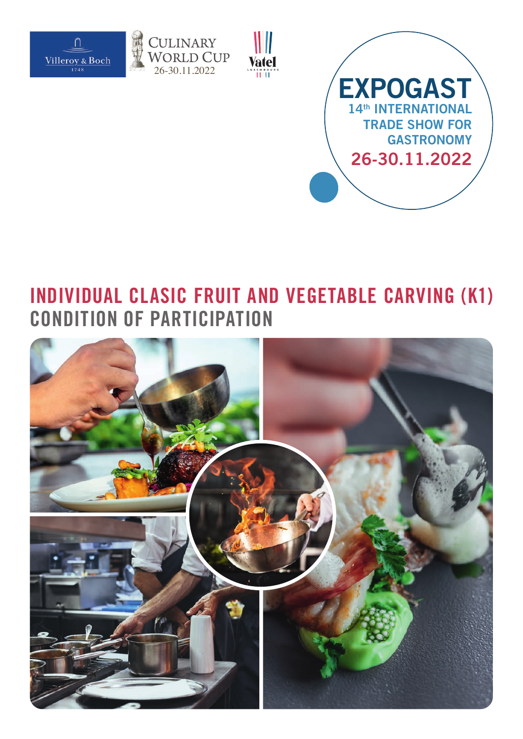







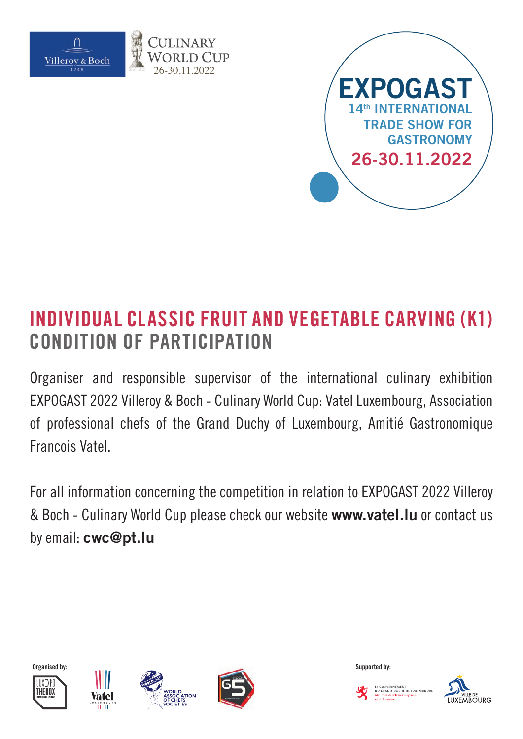

26-30.11.2022



# **INDIVIDUAL CLASSIC FRUIT AND VEGETABLE CARVING (K1) CONDITION OF PARTICIPATION**

Organiser and responsible supervisor of the international culinary exhibition EXPOGAST 2022 Villeroy & Boch - Culinary World Cup: Vatel Luxembourg, Association of professional chefs of the Grand Duchy of Luxembourg, Amitié Gastronomique Francois Vatel.

For all information concerning the competition in relation to EXPOGAST 2022 Villeroy & Boch - Culinary World Cup please check our website **www.vatel.lu** or contact us by email: **cwc@pt.lu**













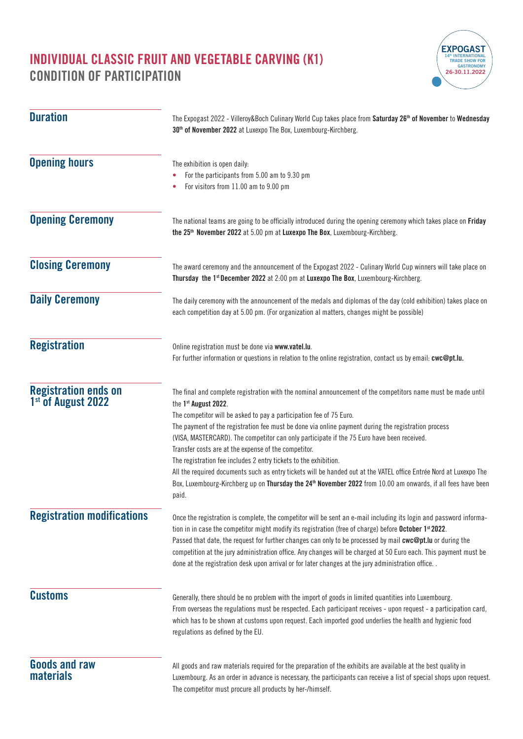

| <b>Duration</b>                                               | The Expogast 2022 - Villeroy&Boch Culinary World Cup takes place from Saturday 26 <sup>th</sup> of November to Wednesday<br>30 <sup>th</sup> of November 2022 at Luxexpo The Box, Luxembourg-Kirchberg.                                                                                                                                                                                                                                                                                                                                                                                                                                                                                                                                                                                                 |  |
|---------------------------------------------------------------|---------------------------------------------------------------------------------------------------------------------------------------------------------------------------------------------------------------------------------------------------------------------------------------------------------------------------------------------------------------------------------------------------------------------------------------------------------------------------------------------------------------------------------------------------------------------------------------------------------------------------------------------------------------------------------------------------------------------------------------------------------------------------------------------------------|--|
| <b>Opening hours</b>                                          | The exhibition is open daily:<br>For the participants from 5.00 am to 9.30 pm<br>For visitors from 11.00 am to 9.00 pm                                                                                                                                                                                                                                                                                                                                                                                                                                                                                                                                                                                                                                                                                  |  |
| <b>Opening Ceremony</b>                                       | The national teams are going to be officially introduced during the opening ceremony which takes place on Friday<br>the 25 <sup>th</sup> November 2022 at 5.00 pm at Luxexpo The Box, Luxembourg-Kirchberg.                                                                                                                                                                                                                                                                                                                                                                                                                                                                                                                                                                                             |  |
| <b>Closing Ceremony</b>                                       | The award ceremony and the announcement of the Expogast 2022 - Culinary World Cup winners will take place on<br>Thursday the 1st December 2022 at 2:00 pm at Luxexpo The Box, Luxembourg-Kirchberg.                                                                                                                                                                                                                                                                                                                                                                                                                                                                                                                                                                                                     |  |
| <b>Daily Ceremony</b>                                         | The daily ceremony with the announcement of the medals and diplomas of the day (cold exhibition) takes place on<br>each competition day at 5.00 pm. (For organization al matters, changes might be possible)                                                                                                                                                                                                                                                                                                                                                                                                                                                                                                                                                                                            |  |
| <b>Registration</b>                                           | Online registration must be done via www.vatel.lu.<br>For further information or questions in relation to the online registration, contact us by email: cwc@pt.lu.                                                                                                                                                                                                                                                                                                                                                                                                                                                                                                                                                                                                                                      |  |
| <b>Registration ends on</b><br>1 <sup>st</sup> of August 2022 | The final and complete registration with the nominal announcement of the competitors name must be made until<br>the 1st August 2022.<br>The competitor will be asked to pay a participation fee of 75 Euro.<br>The payment of the registration fee must be done via online payment during the registration process<br>(VISA, MASTERCARD). The competitor can only participate if the 75 Euro have been received.<br>Transfer costs are at the expense of the competitor.<br>The registration fee includes 2 entry tickets to the exhibition.<br>All the required documents such as entry tickets will be handed out at the VATEL office Entrée Nord at Luxexpo The<br>Box, Luxembourg-Kirchberg up on Thursday the 24 <sup>th</sup> November 2022 from 10.00 am onwards, if all fees have been<br>paid. |  |
| <b>Registration modifications</b>                             | Once the registration is complete, the competitor will be sent an e-mail including its login and password informa-<br>tion in in case the competitor might modify its registration (free of charge) before October 1 <sup>st</sup> 2022.<br>Passed that date, the request for further changes can only to be processed by mail cwc@pt.lu or during the<br>competition at the jury administration office. Any changes will be charged at 50 Euro each. This payment must be<br>done at the registration desk upon arrival or for later changes at the jury administration office                                                                                                                                                                                                                         |  |
| <b>Customs</b>                                                | Generally, there should be no problem with the import of goods in limited quantities into Luxembourg.<br>From overseas the regulations must be respected. Each participant receives - upon request - a participation card,<br>which has to be shown at customs upon request. Each imported good underlies the health and hygienic food<br>regulations as defined by the EU.                                                                                                                                                                                                                                                                                                                                                                                                                             |  |
| <b>Goods and raw</b><br><b>materials</b>                      | All goods and raw materials required for the preparation of the exhibits are available at the best quality in<br>Luxembourg. As an order in advance is necessary, the participants can receive a list of special shops upon request.<br>The competitor must procure all products by her-/himself.                                                                                                                                                                                                                                                                                                                                                                                                                                                                                                       |  |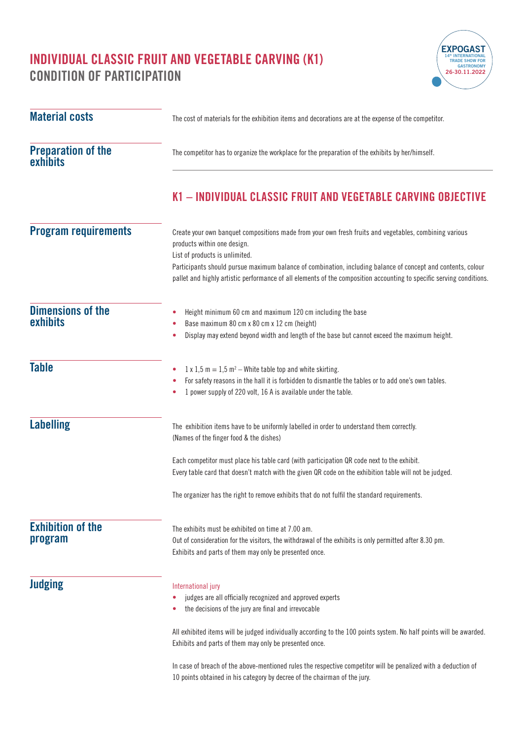

| <b>Material costs</b>                       | The cost of materials for the exhibition items and decorations are at the expense of the competitor.                                                                                                                                                          |
|---------------------------------------------|---------------------------------------------------------------------------------------------------------------------------------------------------------------------------------------------------------------------------------------------------------------|
| <b>Preparation of the</b><br>exhibits       | The competitor has to organize the workplace for the preparation of the exhibits by her/himself.                                                                                                                                                              |
|                                             | K1 - INDIVIDUAL CLASSIC FRUIT AND VEGETABLE CARVING OBJECTIVE                                                                                                                                                                                                 |
| <b>Program requirements</b>                 | Create your own banquet compositions made from your own fresh fruits and vegetables, combining various<br>products within one design.<br>List of products is unlimited.                                                                                       |
|                                             | Participants should pursue maximum balance of combination, including balance of concept and contents, colour<br>pallet and highly artistic performance of all elements of the composition accounting to specific serving conditions.                          |
| <b>Dimensions of the</b><br><b>exhibits</b> | Height minimum 60 cm and maximum 120 cm including the base<br>$\bullet$<br>Base maximum 80 cm x 80 cm x 12 cm (height)<br>٠<br>Display may extend beyond width and length of the base but cannot exceed the maximum height.<br>۰                              |
| <b>Table</b>                                | $1 \times 1.5$ m = 1.5 m <sup>2</sup> – White table top and white skirting.<br>٠<br>For safety reasons in the hall it is forbidden to dismantle the tables or to add one's own tables.<br>۰<br>1 power supply of 220 volt, 16 A is available under the table. |
| <b>Labelling</b>                            | The exhibition items have to be uniformly labelled in order to understand them correctly.<br>(Names of the finger food & the dishes)                                                                                                                          |
|                                             | Each competitor must place his table card (with participation QR code next to the exhibit.<br>Every table card that doesn't match with the given QR code on the exhibition table will not be judged.                                                          |
|                                             | The organizer has the right to remove exhibits that do not fulfil the standard requirements.                                                                                                                                                                  |
| <b>Exhibition of the</b><br>program         | The exhibits must be exhibited on time at 7.00 am.<br>Out of consideration for the visitors, the withdrawal of the exhibits is only permitted after 8.30 pm.<br>Exhibits and parts of them may only be presented once.                                        |
| <b>Judging</b>                              | International jury<br>judges are all officially recognized and approved experts<br>۰<br>the decisions of the jury are final and irrevocable                                                                                                                   |
|                                             | All exhibited items will be judged individually according to the 100 points system. No half points will be awarded.<br>Exhibits and parts of them may only be presented once.                                                                                 |
|                                             | In case of breach of the above-mentioned rules the respective competitor will be penalized with a deduction of<br>10 points obtained in his category by decree of the chairman of the jury.                                                                   |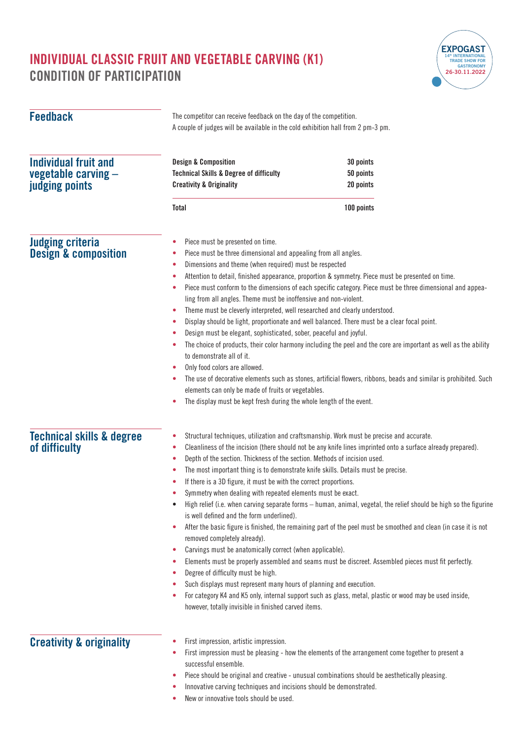

| <b>Feedback</b>                                                      | The competitor can receive feedback on the day of the competition.<br>A couple of judges will be available in the cold exhibition hall from 2 pm-3 pm.                                                                                                                                                                                                                                                                                                                                                                                                                                                                                                                                                                                                                                                                                                                                                                                                                                                                                                                                                                                                                                                                                                                                                                                         |                                                                                                                                                                                                      |  |
|----------------------------------------------------------------------|------------------------------------------------------------------------------------------------------------------------------------------------------------------------------------------------------------------------------------------------------------------------------------------------------------------------------------------------------------------------------------------------------------------------------------------------------------------------------------------------------------------------------------------------------------------------------------------------------------------------------------------------------------------------------------------------------------------------------------------------------------------------------------------------------------------------------------------------------------------------------------------------------------------------------------------------------------------------------------------------------------------------------------------------------------------------------------------------------------------------------------------------------------------------------------------------------------------------------------------------------------------------------------------------------------------------------------------------|------------------------------------------------------------------------------------------------------------------------------------------------------------------------------------------------------|--|
| <b>Individual fruit and</b><br>vegetable carving -<br>judging points | <b>Design &amp; Composition</b><br><b>Technical Skills &amp; Degree of difficulty</b><br><b>Creativity &amp; Originality</b>                                                                                                                                                                                                                                                                                                                                                                                                                                                                                                                                                                                                                                                                                                                                                                                                                                                                                                                                                                                                                                                                                                                                                                                                                   | 30 points<br>50 points<br>20 points                                                                                                                                                                  |  |
|                                                                      | <b>Total</b>                                                                                                                                                                                                                                                                                                                                                                                                                                                                                                                                                                                                                                                                                                                                                                                                                                                                                                                                                                                                                                                                                                                                                                                                                                                                                                                                   | 100 points                                                                                                                                                                                           |  |
| <b>Judging criteria</b><br><b>Design &amp; composition</b>           | Piece must be presented on time.<br>۰<br>Piece must be three dimensional and appealing from all angles.<br>۰<br>Dimensions and theme (when required) must be respected<br>٠<br>Attention to detail, finished appearance, proportion & symmetry. Piece must be presented on time.<br>۰<br>Piece must conform to the dimensions of each specific category. Piece must be three dimensional and appea-<br>۰<br>ling from all angles. Theme must be inoffensive and non-violent.<br>Theme must be cleverly interpreted, well researched and clearly understood.<br>۰<br>Display should be light, proportionate and well balanced. There must be a clear focal point.<br>۰<br>Design must be elegant, sophisticated, sober, peaceful and joyful.<br>٠<br>The choice of products, their color harmony including the peel and the core are important as well as the ability<br>۰<br>to demonstrate all of it.<br>Only food colors are allowed.<br>٠<br>The use of decorative elements such as stones, artificial flowers, ribbons, beads and similar is prohibited. Such<br>٠<br>elements can only be made of fruits or vegetables.<br>The display must be kept fresh during the whole length of the event.<br>٠                                                                                                                                      |                                                                                                                                                                                                      |  |
| <b>Technical skills &amp; degree</b><br>of difficulty                | Structural techniques, utilization and craftsmanship. Work must be precise and accurate.<br>۰<br>Cleanliness of the incision (there should not be any knife lines imprinted onto a surface already prepared).<br>۰<br>Depth of the section. Thickness of the section. Methods of incision used.<br>۰<br>The most important thing is to demonstrate knife skills. Details must be precise.<br>٠<br>If there is a 3D figure, it must be with the correct proportions.<br>Symmetry when dealing with repeated elements must be exact.<br>High relief (i.e. when carving separate forms - human, animal, vegetal, the relief should be high so the figurine<br>٠<br>is well defined and the form underlined).<br>After the basic figure is finished, the remaining part of the peel must be smoothed and clean (in case it is not<br>۰<br>removed completely already).<br>Carvings must be anatomically correct (when applicable).<br>۰<br>Elements must be properly assembled and seams must be discreet. Assembled pieces must fit perfectly.<br>۰<br>Degree of difficulty must be high.<br>۰<br>Such displays must represent many hours of planning and execution.<br>٠<br>For category K4 and K5 only, internal support such as glass, metal, plastic or wood may be used inside,<br>٠<br>however, totally invisible in finished carved items. |                                                                                                                                                                                                      |  |
| <b>Creativity &amp; originality</b>                                  | First impression, artistic impression.<br>۰<br>۰<br>successful ensemble.<br>٠<br>Innovative carving techniques and incisions should be demonstrated.<br>۰                                                                                                                                                                                                                                                                                                                                                                                                                                                                                                                                                                                                                                                                                                                                                                                                                                                                                                                                                                                                                                                                                                                                                                                      | First impression must be pleasing - how the elements of the arrangement come together to present a<br>Piece should be original and creative - unusual combinations should be aesthetically pleasing. |  |

**•** New or innovative tools should be used.